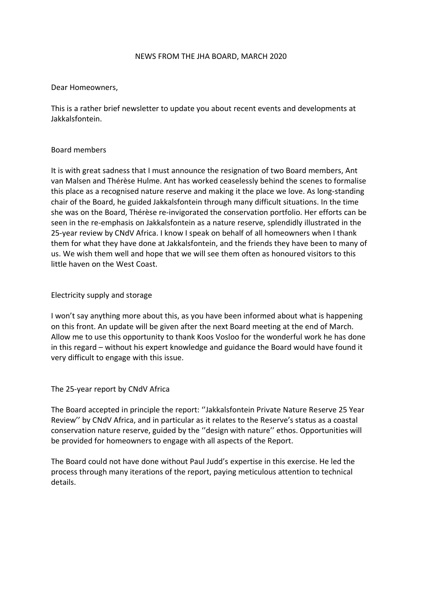#### NEWS FROM THE JHA BOARD, MARCH 2020

### Dear Homeowners,

This is a rather brief newsletter to update you about recent events and developments at Jakkalsfontein.

### Board members

It is with great sadness that I must announce the resignation of two Board members, Ant van Malsen and Thérèse Hulme. Ant has worked ceaselessly behind the scenes to formalise this place as a recognised nature reserve and making it the place we love. As long-standing chair of the Board, he guided Jakkalsfontein through many difficult situations. In the time she was on the Board, Thérèse re-invigorated the conservation portfolio. Her efforts can be seen in the re-emphasis on Jakkalsfontein as a nature reserve, splendidly illustrated in the 25-year review by CNdV Africa. I know I speak on behalf of all homeowners when I thank them for what they have done at Jakkalsfontein, and the friends they have been to many of us. We wish them well and hope that we will see them often as honoured visitors to this little haven on the West Coast.

### Electricity supply and storage

I won't say anything more about this, as you have been informed about what is happening on this front. An update will be given after the next Board meeting at the end of March. Allow me to use this opportunity to thank Koos Vosloo for the wonderful work he has done in this regard – without his expert knowledge and guidance the Board would have found it very difficult to engage with this issue.

### The 25-year report by CNdV Africa

The Board accepted in principle the report: ''Jakkalsfontein Private Nature Reserve 25 Year Review'' by CNdV Africa, and in particular as it relates to the Reserve's status as a coastal conservation nature reserve, guided by the ''design with nature'' ethos. Opportunities will be provided for homeowners to engage with all aspects of the Report.

The Board could not have done without Paul Judd's expertise in this exercise. He led the process through many iterations of the report, paying meticulous attention to technical details.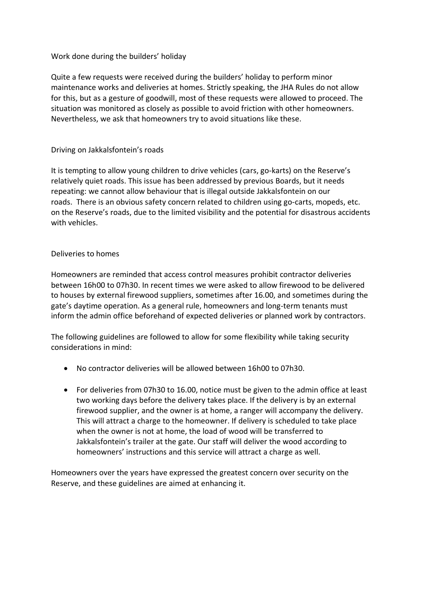## Work done during the builders' holiday

Quite a few requests were received during the builders' holiday to perform minor maintenance works and deliveries at homes. Strictly speaking, the JHA Rules do not allow for this, but as a gesture of goodwill, most of these requests were allowed to proceed. The situation was monitored as closely as possible to avoid friction with other homeowners. Nevertheless, we ask that homeowners try to avoid situations like these.

# Driving on Jakkalsfontein's roads

It is tempting to allow young children to drive vehicles (cars, go-karts) on the Reserve's relatively quiet roads. This issue has been addressed by previous Boards, but it needs repeating: we cannot allow behaviour that is illegal outside Jakkalsfontein on our roads. There is an obvious safety concern related to children using go-carts, mopeds, etc. on the Reserve's roads, due to the limited visibility and the potential for disastrous accidents with vehicles.

# Deliveries to homes

Homeowners are reminded that access control measures prohibit contractor deliveries between 16h00 to 07h30. In recent times we were asked to allow firewood to be delivered to houses by external firewood suppliers, sometimes after 16.00, and sometimes during the gate's daytime operation. As a general rule, homeowners and long-term tenants must inform the admin office beforehand of expected deliveries or planned work by contractors.

The following guidelines are followed to allow for some flexibility while taking security considerations in mind:

- No contractor deliveries will be allowed between 16h00 to 07h30.
- For deliveries from 07h30 to 16.00, notice must be given to the admin office at least two working days before the delivery takes place. If the delivery is by an external firewood supplier, and the owner is at home, a ranger will accompany the delivery. This will attract a charge to the homeowner. If delivery is scheduled to take place when the owner is not at home, the load of wood will be transferred to Jakkalsfontein's trailer at the gate. Our staff will deliver the wood according to homeowners' instructions and this service will attract a charge as well.

Homeowners over the years have expressed the greatest concern over security on the Reserve, and these guidelines are aimed at enhancing it.